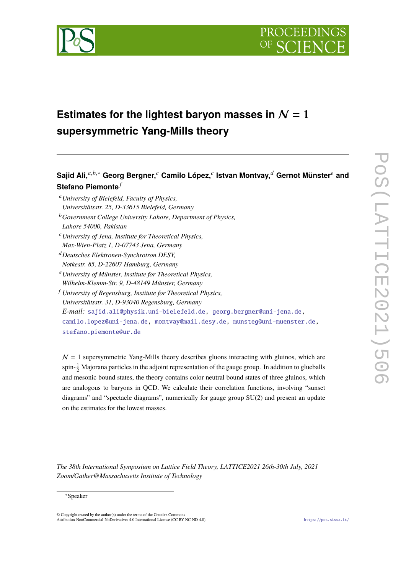

# **Estimates for the lightest baryon masses in**  $N = 1$ **supersymmetric Yang-Mills theory**

 ${\sf Sajid Ali,}^{a,b,*}$  Georg Bergner, $^c$  Camilo López, $^c$  Istvan Montvay, $^d$  Gernot Münster $^e$  and **Stefano Piemonte**<sup>*f*</sup>

- <sup>𝑎</sup>*University of Bielefeld, Faculty of Physics, Universitätsstr. 25, D-33615 Bielefeld, Germany*
- <sup>𝑏</sup>*Government College University Lahore, Department of Physics, Lahore 54000, Pakistan*
- <sup>𝑐</sup>*University of Jena, Institute for Theoretical Physics, Max-Wien-Platz 1, D-07743 Jena, Germany*
- <sup>𝑑</sup>*Deutsches Elektronen-Synchrotron DESY, Notkestr. 85, D-22607 Hamburg, Germany*
- <sup>𝑒</sup>*University of Münster, Institute for Theoretical Physics, Wilhelm-Klemm-Str. 9, D-48149 Münster, Germany*
- <sup>𝑓</sup> *University of Regensburg, Institute for Theoretical Physics, Universitätsstr. 31, D-93040 Regensburg, Germany E-mail:* [sajid.ali@physik.uni-bielefeld.de,](mailto:sajid.ali@physik.uni-bielefeld.de) [georg.bergner@uni-jena.de,](mailto:georg.bergner@uni-jena.de) [camilo.lopez@uni-jena.de,](mailto:camilo.lopez@uni-jena.de) [montvay@mail.desy.de,](mailto:montvay@mail.desy.de) [munsteg@uni-muenster.de,](mailto:munsteg@uni-muenster.de) [stefano.piemonte@ur.de](mailto:stefano.piemonte@ur.de)

 $N = 1$  supersymmetric Yang-Mills theory describes gluons interacting with gluinos, which are spin- $\frac{1}{2}$  Majorana particles in the adjoint representation of the gauge group. In addition to glueballs and mesonic bound states, the theory contains color neutral bound states of three gluinos, which are analogous to baryons in QCD. We calculate their correlation functions, involving "sunset diagrams" and "spectacle diagrams", numerically for gauge group SU(2) and present an update on the estimates for the lowest masses.

*The 38th International Symposium on Lattice Field Theory, LATTICE2021 26th-30th July, 2021 Zoom/Gather@Massachusetts Institute of Technology*

<sup>∗</sup>Speaker

 $\odot$  Copyright owned by the author(s) under the terms of the Creative Common Attribution-NonCommercial-NoDerivatives 4.0 International License (CC BY-NC-ND 4.0). <https://pos.sissa.it/>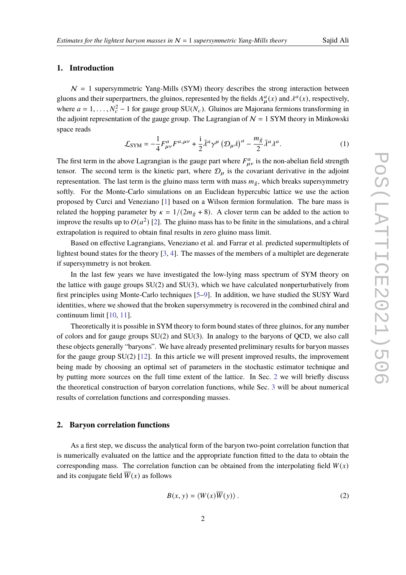#### **1. Introduction**

 $N = 1$  supersymmetric Yang-Mills (SYM) theory describes the strong interaction between gluons and their superpartners, the gluinos, represented by the fields  $A^a_{\mu}(x)$  and  $\lambda^a(x)$ , respectively, where  $a = 1, \ldots, N_c^2 - 1$  for gauge group  $SU(N_c)$ . Gluinos are Majorana fermions transforming in the adjoint representation of the gauge group. The Lagrangian of  $N = 1$  SYM theory in Minkowski space reads

$$
\mathcal{L}_{\text{SYM}} = -\frac{1}{4} F^{a}_{\mu\nu} F^{a,\mu\nu} + \frac{i}{2} \bar{\lambda}^a \gamma^\mu \left( \mathcal{D}_\mu \lambda \right)^a - \frac{m_{\tilde{g}}}{2} \bar{\lambda}^a \lambda^a. \tag{1}
$$

The first term in the above Lagrangian is the gauge part where  $F_{\mu\nu}^a$  is the non-abelian field strength tensor. The second term is the kinetic part, where  $\mathcal{D}_{\mu}$  is the covariant derivative in the adjoint representation. The last term is the gluino mass term with mass  $m_{\tilde{g}}$ , which breaks supersymmetry softly. For the Monte-Carlo simulations on an Euclidean hypercubic lattice we use the action proposed by Curci and Veneziano [\[1\]](#page-5-0) based on a Wilson fermion formulation. The bare mass is related the hopping parameter by  $\kappa = 1/(2m_{\tilde{g}} + 8)$ . A clover term can be added to the action to improve the results up to  $O(a^2)$  [\[2\]](#page-5-1). The gluino mass has to be finite in the simulations, and a chiral extrapolation is required to obtain final results in zero gluino mass limit.

Based on effective Lagrangians, Veneziano et al. and Farrar et al. predicted supermultiplets of lightest bound states for the theory [\[3,](#page-5-2) [4\]](#page-5-3). The masses of the members of a multiplet are degenerate if supersymmetry is not broken.

In the last few years we have investigated the low-lying mass spectrum of SYM theory on the lattice with gauge groups SU(2) and SU(3), which we have calculated nonperturbatively from first principles using Monte-Carlo techniques [\[5–](#page-5-4)[9\]](#page-5-5). In addition, we have studied the SUSY Ward identities, where we showed that the broken supersymmetry is recovered in the combined chiral and continuum limit [\[10,](#page-5-6) [11\]](#page-5-7).

Theoretically it is possible in SYM theory to form bound states of three gluinos, for any number of colors and for gauge groups SU(2) and SU(3). In analogy to the baryons of QCD, we also call these objects generally "baryons". We have already presented preliminary results for baryon masses for the gauge group  $SU(2)$  [\[12\]](#page-5-8). In this article we will present improved results, the improvement being made by choosing an optimal set of parameters in the stochastic estimator technique and by putting more sources on the full time extent of the lattice. In Sec. [2](#page-1-0) we will briefly discuss the theoretical construction of baryon correlation functions, while Sec. [3](#page-2-0) will be about numerical results of correlation functions and corresponding masses.

#### <span id="page-1-0"></span>**2. Baryon correlation functions**

As a first step, we discuss the analytical form of the baryon two-point correlation function that is numerically evaluated on the lattice and the appropriate function fitted to the data to obtain the corresponding mass. The correlation function can be obtained from the interpolating field  $W(x)$ and its conjugate field  $\overline{W}(x)$  as follows

$$
B(x, y) = \langle W(x)\overline{W}(y)\rangle.
$$
 (2)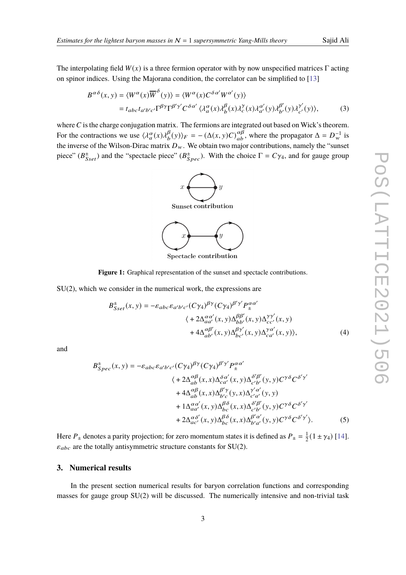The interpolating field  $W(x)$  is a three fermion operator with by now unspecified matrices  $\Gamma$  acting on spinor indices. Using the Majorana condition, the correlator can be simplified to [\[13\]](#page-5-9)

$$
B^{\alpha\delta}(x, y) = \langle W^{\alpha}(x)\overline{W}^{\delta}(y)\rangle = \langle W^{\alpha}(x)C^{\delta\alpha'}W^{\alpha'}(y)\rangle
$$
  
=  $t_{abc}t_{a'b'c'}\Gamma^{\beta\gamma}\Gamma^{\beta'\gamma'}C^{\delta\alpha'}\langle\lambda_a^{\alpha}(x)\lambda_b^{\beta}(x)\lambda_c^{\gamma'}(x)\lambda_{a'}^{\alpha'}(y)\lambda_{b'}^{\beta'}(y)\lambda_{c'}^{\gamma'}(y)\rangle,$  (3)

where  $C$  is the charge conjugation matrix. The fermions are integrated out based on Wick's theorem. For the contractions we use  $\langle \lambda_a^{\alpha}(x) \lambda_b^{\beta} \rangle$  $\binom{\beta}{b}(y)_F = -(\Delta(x, y)C)_{ab}^{\alpha\beta}$ , where the propagator  $\Delta = D_w^{-1}$  is the inverse of the Wilson-Dirac matrix  $D_w$ . We obtain two major contributions, namely the "sunset" piece" ( $B_{Sset}^{\pm}$ ) and the "spectacle piece" ( $B_{Spec}^{\pm}$ ). With the choice  $\Gamma = C_{\gamma_4}$ , and for gauge group



Spectacle contribution

**Figure 1:** Graphical representation of the sunset and spectacle contributions.

SU(2), which we consider in the numerical work, the expressions are

$$
B_{Sset}^{\pm}(x, y) = -\varepsilon_{abc}\varepsilon_{a'b'c'}(C\gamma_4)^{\beta\gamma}(C\gamma_4)^{\beta'\gamma'}P_{\pm}^{\alpha\alpha'}
$$
  

$$
\langle +2\Delta_{aa'}^{\alpha\alpha'}(x, y)\Delta_{bb'}^{\beta\beta'}(x, y)\Delta_{cc'}^{\gamma\gamma'}(x, y)
$$

$$
+4\Delta_{ab'}^{\alpha\beta'}(x, y)\Delta_{bc'}^{\beta\gamma'}(x, y)\Delta_{ca'}^{\gamma\alpha'}(x, y)\rangle,
$$
(4)

and

$$
B_{Spec}^{\pm}(x, y) = -\varepsilon_{abc}\varepsilon_{a'b'c'}(C\gamma_4)^{\beta\gamma}(C\gamma_4)^{\beta'\gamma'}P_{\pm}^{\alpha\alpha'}
$$
  

$$
\langle +2\Delta_{ab}^{\alpha\beta}(x, x)\Delta_{ca'}^{\delta\alpha'}(x, y)\Delta_{c'b'}^{\delta'\beta'}(y, y)C^{\gamma\delta}C^{\delta'\gamma'}
$$

$$
+4\Delta_{ab}^{\alpha\beta}(x, x)\Delta_{b'c}^{\beta'\gamma}(y, x)\Delta_{c'a'}^{\gamma'\alpha'}(y, y)
$$

$$
+1\Delta_{aa'}^{\alpha\alpha'}(x, y)\Delta_{bc}^{\beta\delta}(x, x)\Delta_{c'b'}^{\delta'\beta'}(y, y)C^{\gamma\delta}C^{\delta'\gamma'}
$$

$$
+2\Delta_{ac'}^{\alpha\delta'}(x, y)\Delta_{bc}^{\beta\delta}(x, x)\Delta_{b'a'}^{\beta'\alpha'}(y, y)C^{\gamma\delta}C^{\delta'\gamma'}.
$$
(5)

Here  $P_{\pm}$  denotes a parity projection; for zero momentum states it is defined as  $P_{\pm} = \frac{1}{2}$  $\frac{1}{2}(1 \pm \gamma_4)$  [\[14\]](#page-5-10).  $\varepsilon_{abc}$  are the totally antisymmetric structure constants for SU(2).

### <span id="page-2-0"></span>**3. Numerical results**

In the present section numerical results for baryon correlation functions and corresponding masses for gauge group SU(2) will be discussed. The numerically intensive and non-trivial task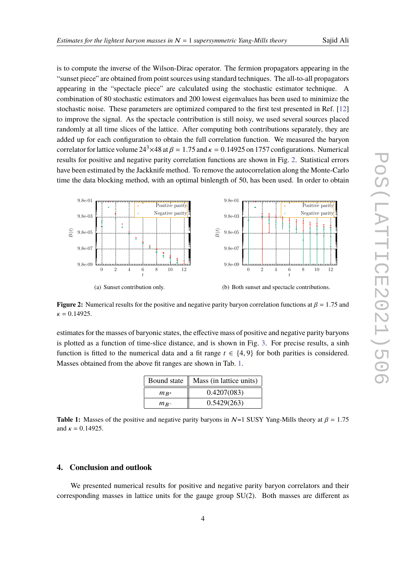is to compute the inverse of the Wilson-Dirac operator. The fermion propagators appearing in the "sunset piece" are obtained from point sources using standard techniques. The all-to-all propagators appearing in the "spectacle piece" are calculated using the stochastic estimator technique. A combination of 80 stochastic estimators and 200 lowest eigenvalues has been used to minimize the stochastic noise. These parameters are optimized compared to the first test presented in Ref. [\[12\]](#page-5-8) to improve the signal. As the spectacle contribution is still noisy, we used several sources placed randomly at all time slices of the lattice. After computing both contributions separately, they are added up for each configuration to obtain the full correlation function. We measured the baryon correlator for lattice volume  $24^3 \times 48$  at  $\beta = 1.75$  and  $\kappa = 0.14925$  on 1757 configurations. Numerical results for positive and negative parity correlation functions are shown in Fig. [2.](#page-3-0) Statistical errors have been estimated by the Jackknife method. To remove the autocorrelation along the Monte-Carlo time the data blocking method, with an optimal binlength of 50, has been used. In order to obtain

<span id="page-3-0"></span>

**Figure 2:** Numerical results for the positive and negative parity baryon correlation functions at  $\beta = 1.75$  and  $\kappa = 0.14925.$ 

<span id="page-3-1"></span>estimates for the masses of baryonic states, the effective mass of positive and negative parity baryons is plotted as a function of time-slice distance, and is shown in Fig. [3.](#page-4-0) For precise results, a sinh function is fitted to the numerical data and a fit range  $t \in \{4, 9\}$  for both parities is considered. Masses obtained from the above fit ranges are shown in Tab. [1.](#page-3-1)

| Bound state | Mass (in lattice units) |
|-------------|-------------------------|
| $m_{B^+}$   | 0.4207(083)             |
| $m_{B^-}$   | 0.5429(263)             |

**Table 1:** Masses of the positive and negative parity baryons in  $N=1$  SUSY Yang-Mills theory at  $\beta = 1.75$ and  $\kappa = 0.14925$ .

#### **4. Conclusion and outlook**

We presented numerical results for positive and negative parity baryon correlators and their corresponding masses in lattice units for the gauge group  $SU(2)$ . Both masses are different as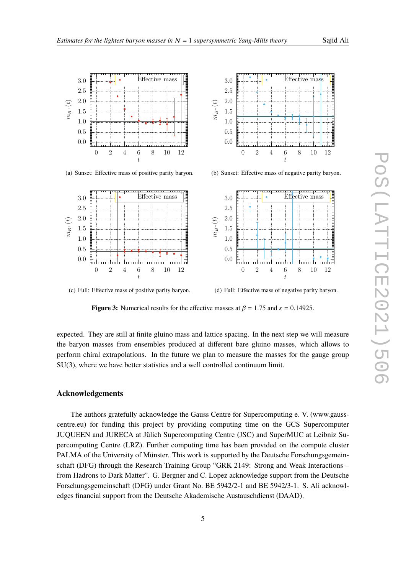<span id="page-4-0"></span>



(a) Sunset: Effective mass of positive parity baryon.



(b) Sunset: Effective mass of negative parity baryon.



(c) Full: Effective mass of positive parity baryon.

(d) Full: Effective mass of negative parity baryon.

**Figure 3:** Numerical results for the effective masses at  $\beta = 1.75$  and  $\kappa = 0.14925$ .

expected. They are still at finite gluino mass and lattice spacing. In the next step we will measure the baryon masses from ensembles produced at different bare gluino masses, which allows to perform chiral extrapolations. In the future we plan to measure the masses for the gauge group SU(3), where we have better statistics and a well controlled continuum limit.

## **Acknowledgements**

The authors gratefully acknowledge the Gauss Centre for Supercomputing e. V. (www.gausscentre.eu) for funding this project by providing computing time on the GCS Supercomputer JUQUEEN and JURECA at Jülich Supercomputing Centre (JSC) and SuperMUC at Leibniz Supercomputing Centre (LRZ). Further computing time has been provided on the compute cluster PALMA of the University of Münster. This work is supported by the Deutsche Forschungsgemeinschaft (DFG) through the Research Training Group "GRK 2149: Strong and Weak Interactions – from Hadrons to Dark Matter". G. Bergner and C. Lopez acknowledge support from the Deutsche Forschungsgemeinschaft (DFG) under Grant No. BE 5942/2-1 and BE 5942/3-1. S. Ali acknowledges financial support from the Deutsche Akademische Austauschdienst (DAAD).